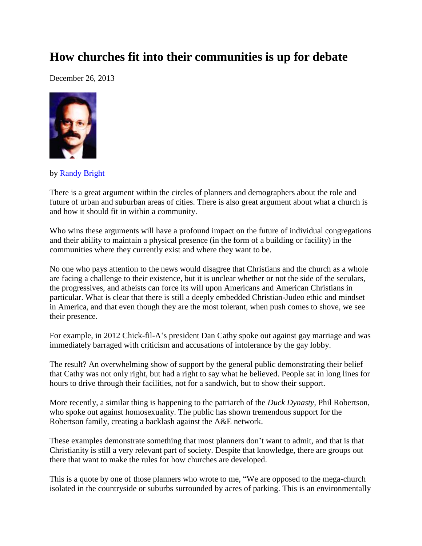## **How churches fit into their communities is up for debate**

December 26, 2013



by [Randy Bright](http://tulsabeacon.com/writers/randy-bright/)

There is a great argument within the circles of planners and demographers about the role and future of urban and suburban areas of cities. There is also great argument about what a church is and how it should fit in within a community.

Who wins these arguments will have a profound impact on the future of individual congregations and their ability to maintain a physical presence (in the form of a building or facility) in the communities where they currently exist and where they want to be.

No one who pays attention to the news would disagree that Christians and the church as a whole are facing a challenge to their existence, but it is unclear whether or not the side of the seculars, the progressives, and atheists can force its will upon Americans and American Christians in particular. What is clear that there is still a deeply embedded Christian-Judeo ethic and mindset in America, and that even though they are the most tolerant, when push comes to shove, we see their presence.

For example, in 2012 Chick-fil-A's president Dan Cathy spoke out against gay marriage and was immediately barraged with criticism and accusations of intolerance by the gay lobby.

The result? An overwhelming show of support by the general public demonstrating their belief that Cathy was not only right, but had a right to say what he believed. People sat in long lines for hours to drive through their facilities, not for a sandwich, but to show their support.

More recently, a similar thing is happening to the patriarch of the *Duck Dynasty,* Phil Robertson, who spoke out against homosexuality. The public has shown tremendous support for the Robertson family, creating a backlash against the A&E network.

These examples demonstrate something that most planners don't want to admit, and that is that Christianity is still a very relevant part of society. Despite that knowledge, there are groups out there that want to make the rules for how churches are developed.

This is a quote by one of those planners who wrote to me, "We are opposed to the mega-church isolated in the countryside or suburbs surrounded by acres of parking. This is an environmentally